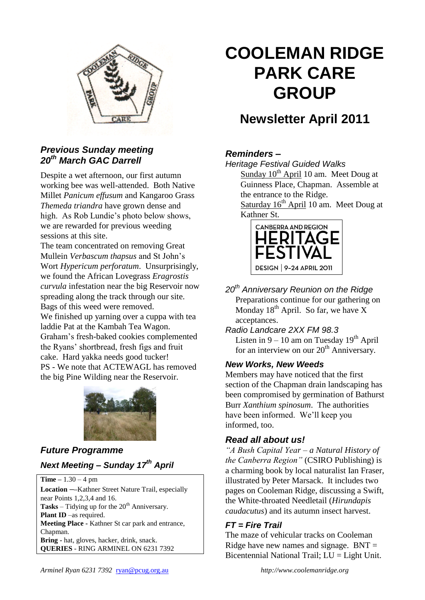

#### *Previous Sunday meeting 20th March GAC Darrell*

Despite a wet afternoon, our first autumn working bee was well-attended. Both Native Millet *Panicum effusum* and Kangaroo Grass *Themeda triandra* have grown dense and high. As Rob Lundie's photo below shows, we are rewarded for previous weeding sessions at this site.

The team concentrated on removing Great Mullein *Verbascum thapsus* and St John's Wort *Hypericum perforatum*. Unsurprisingly, we found the African Lovegrass *Eragrostis curvula* infestation near the big Reservoir now spreading along the track through our site. Bags of this weed were removed.

We finished up yarning over a cuppa with tea laddie Pat at the Kambah Tea Wagon. Graham's fresh-baked cookies complemented the Ryans' shortbread, fresh figs and fruit cake. Hard yakka needs good tucker! PS - We note that ACTEWAGL has removed the big Pine Wilding near the Reservoir.



## *Future Programme Next Meeting – Sunday 17th April*

**Time –** 1.30 – 4 pm **Location ––**Kathner Street Nature Trail, especially near Points 1,2,3,4 and 16. **Tasks** – Tidying up for the  $20<sup>th</sup>$  Anniversary. **Plant ID** –as required. **Meeting Place -** Kathner St car park and entrance, Chapman. **Bring -** hat, gloves, hacker, drink, snack. **QUERIES** - RING ARMINEL ON 6231 7392

# **COOLEMAN RIDGE PARK CARE GROUP**

## **Newsletter April 2011**

### *Reminders –*

*Heritage Festival Guided Walks*

Sunday  $10<sup>th</sup>$  April 10 am. Meet Doug at Guinness Place, Chapman. Assemble at the entrance to the Ridge.

Saturday  $16<sup>th</sup>$  April 10 am. Meet Doug at Kathner St.



*20th Anniversary Reunion on the Ridge* Preparations continue for our gathering on Monday  $18<sup>th</sup>$  April. So far, we have X acceptances.

*Radio Landcare 2XX FM 98.3* Listen in  $9 - 10$  am on Tuesday  $19<sup>th</sup>$  April for an interview on our  $20<sup>th</sup>$  Anniversary.

#### *New Works, New Weeds*

Members may have noticed that the first section of the Chapman drain landscaping has been compromised by germination of Bathurst Burr *Xanthium spinosum*. The authorities have been informed. We'll keep you informed, too.

#### *Read all about us!*

*"A Bush Capital Year – a Natural History of the Canberra Region"* (CSIRO Publishing) is a charming book by local naturalist Ian Fraser, illustrated by Peter Marsack. It includes two pages on Cooleman Ridge, discussing a Swift, the White-throated Needletail (*Hirundapis caudacutus*) and its autumn insect harvest.

#### *FT = Fire Trail*

The maze of vehicular tracks on Cooleman Ridge have new names and signage.  $BNT =$ Bicentennial National Trail; LU = Light Unit.